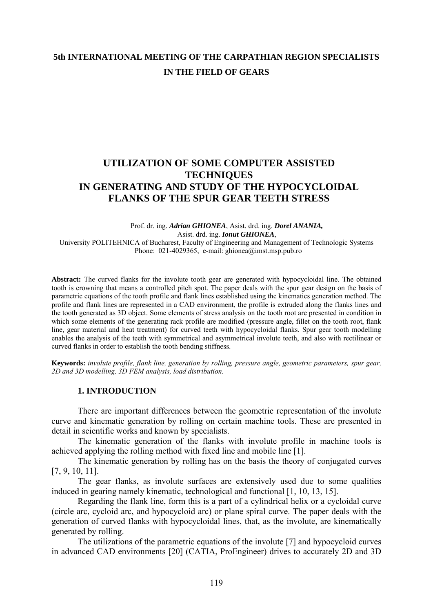# **5th INTERNATIONAL MEETING OF THE CARPATHIAN REGION SPECIALISTS IN THE FIELD OF GEARS**

# **UTILIZATION OF SOME COMPUTER ASSISTED TECHNIQUES IN GENERATING AND STUDY OF THE HYPOCYCLOIDAL FLANKS OF THE SPUR GEAR TEETH STRESS**

#### Prof. dr. ing. *Adrian GHIONEA*, Asist. drd. ing. *Dorel ANANIA,*  Asist. drd. ing. *Ionut GHIONEA*, University POLITEHNICA of Bucharest, Faculty of Engineering and Management of Technologic Systems Phone: 021-4029365, e-mail: ghionea@imst.msp.pub.ro

**Abstract:** The curved flanks for the involute tooth gear are generated with hypocycloidal line. The obtained tooth is crowning that means a controlled pitch spot. The paper deals with the spur gear design on the basis of parametric equations of the tooth profile and flank lines established using the kinematics generation method. The profile and flank lines are represented in a CAD environment, the profile is extruded along the flanks lines and the tooth generated as 3D object. Some elements of stress analysis on the tooth root are presented in condition in which some elements of the generating rack profile are modified (pressure angle, fillet on the tooth root, flank line, gear material and heat treatment) for curved teeth with hypocycloidal flanks. Spur gear tooth modelling enables the analysis of the teeth with symmetrical and asymmetrical involute teeth, and also with rectilinear or curved flanks in order to establish the tooth bending stiffness.

**Keywords:** *involute profile, flank line, generation by rolling, pressure angle, geometric parameters, spur gear, 2D and 3D modelling, 3D FEM analysis, load distribution.*

### **1. INTRODUCTION**

There are important differences between the geometric representation of the involute curve and kinematic generation by rolling on certain machine tools. These are presented in detail in scientific works and known by specialists.

 The kinematic generation of the flanks with involute profile in machine tools is achieved applying the rolling method with fixed line and mobile line [1].

 The kinematic generation by rolling has on the basis the theory of conjugated curves [7, 9, 10, 11].

 The gear flanks, as involute surfaces are extensively used due to some qualities induced in gearing namely kinematic, technological and functional [1, 10, 13, 15].

 Regarding the flank line, form this is a part of a cylindrical helix or a cycloidal curve (circle arc, cycloid arc, and hypocycloid arc) or plane spiral curve. The paper deals with the generation of curved flanks with hypocycloidal lines, that, as the involute, are kinematically generated by rolling.

 The utilizations of the parametric equations of the involute [7] and hypocycloid curves in advanced CAD environments [20] (CATIA, ProEngineer) drives to accurately 2D and 3D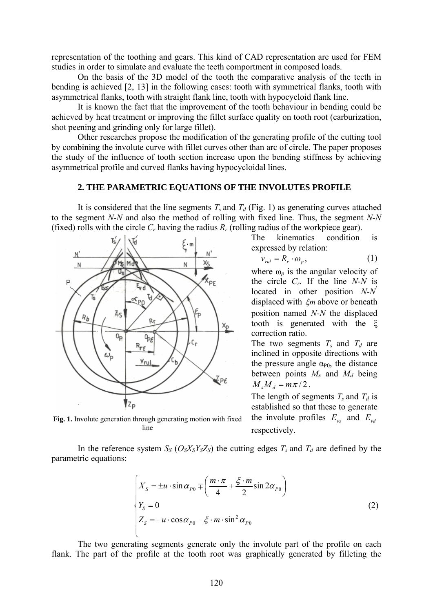representation of the toothing and gears. This kind of CAD representation are used for FEM studies in order to simulate and evaluate the teeth comportment in composed loads.

 On the basis of the 3D model of the tooth the comparative analysis of the teeth in bending is achieved [2, 13] in the following cases: tooth with symmetrical flanks, tooth with asymmetrical flanks, tooth with straight flank line, tooth with hypocycloid flank line.

It is known the fact that the improvement of the tooth behaviour in bending could be achieved by heat treatment or improving the fillet surface quality on tooth root (carburization, shot peening and grinding only for large fillet).

Other researches propose the modification of the generating profile of the cutting tool by combining the involute curve with fillet curves other than arc of circle. The paper proposes the study of the influence of tooth section increase upon the bending stiffness by achieving asymmetrical profile and curved flanks having hypocycloidal lines.

# **2. THE PARAMETRIC EQUATIONS OF THE INVOLUTES PROFILE**

It is considered that the line segments  $T_s$  and  $T_d$  (Fig. 1) as generating curves attached to the segment *N-N* and also the method of rolling with fixed line. Thus, the segment *N-N* (fixed) rolls with the circle  $C_r$  having the radius  $R_r$  (rolling radius of the workpiece gear).



The kinematics condition is expressed by relation:

$$
v_{\text{rel}} = R_r \cdot \omega_p, \tag{1}
$$

where  $\omega_p$  is the angular velocity of the circle *Cr*. If the line *N-N* is located in other position *N-N*' displaced with ξ*m* above or beneath position named *N-N* the displaced tooth is generated with the ξ correction ratio.

The two segments  $T_s$  and  $T_d$  are inclined in opposite directions with the pressure angle  $\alpha_{P0}$ , the distance between points  $M_s$  and  $M_d$  being  $M_{s}M_{d} = m\pi/2$ .

The length of segments  $T_s$  and  $T_d$  is established so that these to generate the involute profiles  $E_{\nu s}$  and  $E_{\nu d}$ respectively.

**Fig. 1.** Involute generation through generating motion with fixed line

In the reference system  $S_S$  ( $O_S X_S Y_S Z_S$ ) the cutting edges  $T_s$  and  $T_d$  are defined by the parametric equations:

$$
\begin{cases}\nX_s = \pm u \cdot \sin \alpha_{P0} \mp \left(\frac{m \cdot \pi}{4} + \frac{\xi \cdot m}{2} \sin 2\alpha_{P0}\right) \\
Y_s = 0 \\
Z_s = -u \cdot \cos \alpha_{P0} - \xi \cdot m \cdot \sin^2 \alpha_{P0}\n\end{cases}
$$
\n(2)

The two generating segments generate only the involute part of the profile on each flank. The part of the profile at the tooth root was graphically generated by filleting the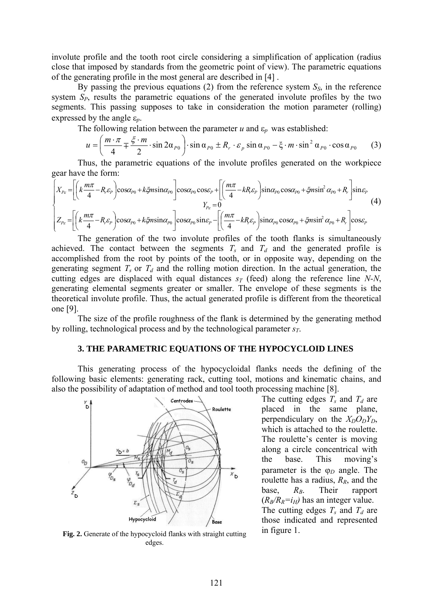involute profile and the tooth root circle considering a simplification of application (radius close that imposed by standards from the geometric point of view). The parametric equations of the generating profile in the most general are described in [4] .

By passing the previous equations (2) from the reference system  $S<sub>S</sub>$ , in the reference system *SP*, results the parametric equations of the generated involute profiles by the two segments. This passing supposes to take in consideration the motion parameter (rolling) expressed by the angle ε*p*.

The following relation between the parameter  $u$  and  $\varepsilon_p$  was established:

$$
u = \left(\frac{m \cdot \pi}{4} \mp \frac{\xi \cdot m}{2} \cdot \sin 2\alpha_{P0}\right) \cdot \sin \alpha_{P0} \pm R_r \cdot \varepsilon_p \sin \alpha_{P0} - \xi \cdot m \cdot \sin^2 \alpha_{P0} \cdot \cos \alpha_{P0} \tag{3}
$$

Thus, the parametric equations of the involute profiles generated on the workpiece gear have the form:

$$
\begin{cases}\nX_{P_{\varepsilon}} = \left[\left(k\frac{m\pi}{4} - R_{\varepsilon} \varepsilon_{P}\right) \cos\alpha_{P0} + k\xi m \sin\alpha_{P0}\right] \cos\alpha_{P0} \cos\varepsilon_{P} + \left[\left(\frac{m\pi}{4} - kR_{\varepsilon} \varepsilon_{P}\right) \sin\alpha_{P0} \cos\alpha_{P0} + \xi m \sin^{2}\alpha_{P0} + R_{r}\right] \sin\varepsilon_{P} \\
Y_{P_{\varepsilon}} = 0 \\
Z_{P_{\varepsilon}} = \left[\left(k\frac{m\pi}{4} - R_{\varepsilon} \varepsilon_{P}\right) \cos\alpha_{P0} + k\xi m \sin\alpha_{P0}\right] \cos\alpha_{P0} \sin\varepsilon_{P} - \left[\left(\frac{m\pi}{4} - kR_{\varepsilon} \varepsilon_{P}\right) \sin\alpha_{P0} \cos\alpha_{P0} + \xi m \sin^{2}\alpha_{P0} + R_{r}\right] \cos\varepsilon_{P}\n\end{cases}\n\tag{4}
$$

The generation of the two involute profiles of the tooth flanks is simultaneously achieved. The contact between the segments  $T_s$  and  $T_d$  and the generated profile is accomplished from the root by points of the tooth, or in opposite way, depending on the generating segment  $T_s$  or  $T_d$  and the rolling motion direction. In the actual generation, the cutting edges are displaced with equal distances  $s_T$  (feed) along the reference line *N-N*, generating elemental segments greater or smaller. The envelope of these segments is the theoretical involute profile. Thus, the actual generated profile is different from the theoretical one [9].

 The size of the profile roughness of the flank is determined by the generating method by rolling, technological process and by the technological parameter *sT*.

## **3. THE PARAMETRIC EQUATIONS OF THE HYPOCYCLOID LINES**

This generating process of the hypocycloidal flanks needs the defining of the following basic elements: generating rack, cutting tool, motions and kinematic chains, and also the possibility of adaptation of method and tool tooth processing machine [8].



**Fig. 2.** Generate of the hypocycloid flanks with straight cutting edges.

The cutting edges  $T_s$  and  $T_d$  are placed in the same plane, perpendiculary on the  $X_D O_D Y_D$ , which is attached to the roulette. The roulette's center is moving along a circle concentrical with the base. This moving's parameter is the ϕ*D* angle. The roulette has a radius,  $R_R$ , and the base,  $R_B$ . Their rapport  $(R_B/R_R=i_H)$  has an integer value.  $R_{B}$ The cutting edges  $T_s$  and  $T_d$  are those indicated and represented in figure 1.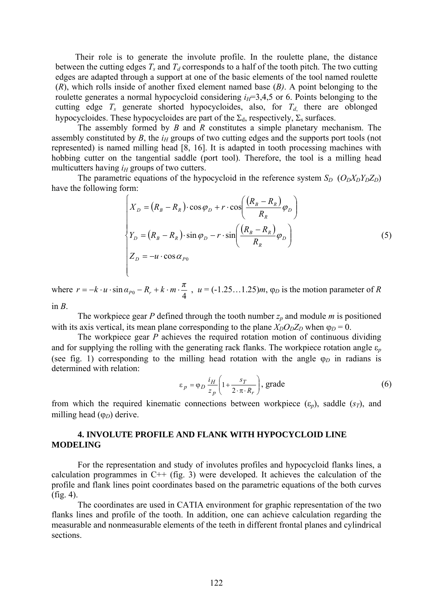Their role is to generate the involute profile. In the roulette plane, the distance between the cutting edges  $T_s$  and  $T_d$  corresponds to a half of the tooth pitch. The two cutting edges are adapted through a support at one of the basic elements of the tool named roulette (*R*), which rolls inside of another fixed element named base (*B)*. A point belonging to the roulette generates a normal hypocycloid considering  $i<sub>H</sub>=3,4,5$  or 6. Points belonging to the cutting edge  $T_s$  generate shorted hypocycloides, also, for  $T_d$  there are oblonged hypocycloides. These hypocycloides are part of the  $\Sigma_d$ , respectively,  $\Sigma_s$  surfaces.

The assembly formed by *B* and *R* constitutes a simple planetary mechanism. The assembly constituted by  $B$ , the  $i_H$  groups of two cutting edges and the supports port tools (not represented) is named milling head [8, 16]. It is adapted in tooth processing machines with hobbing cutter on the tangential saddle (port tool). Therefore, the tool is a milling head multicutters having  $i_H$  groups of two cutters.

The parametric equations of the hypocycloid in the reference system  $S_D$  ( $O_D X_D Y_D Z_D$ ) have the following form:

$$
\begin{cases}\nX_D = (R_B - R_R) \cdot \cos \varphi_D + r \cdot \cos \left(\frac{(R_B - R_R)}{R_R}\varphi_D\right) \\
Y_D = (R_B - R_R) \cdot \sin \varphi_D - r \cdot \sin \left(\frac{(R_B - R_R)}{R_R}\varphi_D\right) \\
Z_D = -u \cdot \cos \alpha_{P0}\n\end{cases} \tag{5}
$$

where  $r = -k \cdot u \cdot \sin \alpha_{P0} - R_r + k \cdot m \cdot \frac{\pi}{4}$ ,  $u = (-1.25...1.25)m$ ,  $\varphi_D$  is the motion parameter of *R* 

in  $B$ .

The workpiece gear  $P$  defined through the tooth number  $z_p$  and module  $m$  is positioned with its axis vertical, its mean plane corresponding to the plane  $X_D O_D Z_D$  when  $\varphi_D = 0$ .

 The workpiece gear *P* achieves the required rotation motion of continuous dividing and for supplying the rolling with the generating rack flanks. The workpiece rotation angle  $\varepsilon_p$ (see fig. 1) corresponding to the milling head rotation with the angle  $\varphi_D$  in radians is determined with relation:

$$
\varepsilon_p = \varphi_D \frac{i_H}{z_p} \left( 1 + \frac{s_T}{2 \cdot \pi \cdot R_r} \right), \text{grade} \tag{6}
$$

from which the required kinematic connections between workpiece  $(\varepsilon_p)$ , saddle  $(s_T)$ , and milling head (φ<sub>*D*</sub>) derive.

# **4. INVOLUTE PROFILE AND FLANK WITH HYPOCYCLOID LINE MODELING**

 For the representation and study of involutes profiles and hypocycloid flanks lines, a calculation programmes in  $C++$  (fig. 3) were developed. It achieves the calculation of the profile and flank lines point coordinates based on the parametric equations of the both curves (fig. 4).

The coordinates are used in CATIA environment for graphic representation of the two flanks lines and profile of the tooth. In addition, one can achieve calculation regarding the measurable and nonmeasurable elements of the teeth in different frontal planes and cylindrical sections.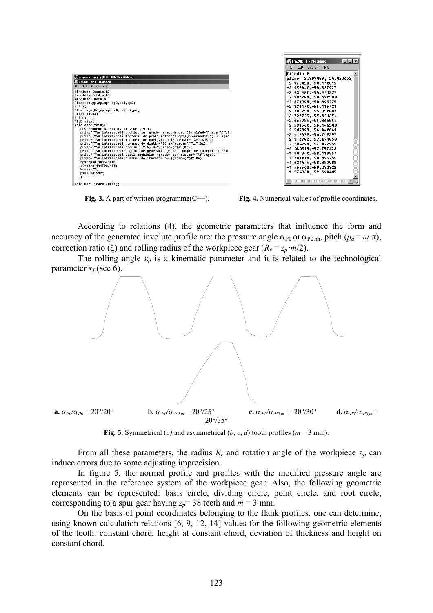| Ecuatii_.cpp - Notepad |                                                                              |
|------------------------|------------------------------------------------------------------------------|
|                        | File Edit Search Help                                                        |
|                        | #include <conio.h></conio.h>                                                 |
|                        | #include <stdio.h></stdio.h>                                                 |
|                        | #include <math.h></math.h>                                                   |
|                        | float xp,yp,zp,xp1,xp2,zp1,zp2;                                              |
| $int z$ ;              |                                                                              |
|                        | float k,m,Rr,ep,ep1,a0,psi,pi,pu;                                            |
|                        | float db,da;                                                                 |
| int n:                 |                                                                              |
|                        | FILE *dest:                                                                  |
|                        | void date(void){                                                             |
|                        | dest=fopen("c:\\evolventa.scr"."w"):                                         |
|                        | printf("\n introduceti unqhiul in -qrade- (recomandat 20) alfa0=");scanf("%f |
|                        | printf("\n introduceti factorul de profil(stang/drept)(recomandat 1) k=");sc |
|                        | printf("\n introduceti factorul de corijare psi=");scanf("%f",ψ);            |
|                        | printf("\n introduceti numarul de dinti (47) z=");scanf("%i",&z);            |
|                        | printf("\n introduceti modulul (2.5) m=");scanf("%f",&m);                    |
|                        | printf("\n introduceti unghiul de generare -grade- (unghi de inceput) (-20)e |
|                        | printf("\n introduceti pasul unghiular -grade- pu=");scanf("%f",&pu);        |
|                        | printf("\n introduceti numarul de iteratii n="):scanf("%d".&n):              |
|                        | ep1=ep*3.1415/180;                                                           |
|                        | a0-a0*3.141592/180;                                                          |
|                        | $Rr = m \times 2/2$ :                                                        |
|                        | pi=3.141592:                                                                 |
|                        |                                                                              |

File Edit Search Help File Edt Search Help<br>
File1ia 0<br>
Pline -2.989089,-54.028652<br>
-2.975423,-54.170315<br>
-2.975423,-54.170315<br>
-2.934580,-54.501377<br>
-2.9046204,-54.690540<br>
-2.904084,-54.090540<br>
-2.831170,-55.115421<br>
-2.783254,-55.350807<br>
-2.783 -2.727765,-55.061254<br>-2.663985,-55.866554<br>-2.591568,-56.146588<br>-2.589899,-56.448861 -2.589897,-50.448801<br>-2.418479,-56.749397<br>-2.316782,-57.871858<br>-2.284296,-57.487955 

**Fig. 3.** A part of written programme(C++). **Fig. 4.** Numerical values of profile coordinates.

According to relations (4), the geometric parameters that influence the form and accuracy of the generated involute profile are: the pressure angle  $\alpha_{P0}$  or  $\alpha_{P0,m}$ , pitch  $(p_d = m \pi)$ , correction ratio (ξ) and rolling radius of the workpiece gear  $(R_r = z_p \cdot m/2)$ .

The rolling angle  $\varepsilon_p$  is a kinematic parameter and it is related to the technological parameter  $s_T$  (see 6).



**Fig. 5.** Symmetrical (*a*) and asymmetrical (*b*, *c*, *d*) tooth profiles ( $m = 3$  mm).

From all these parameters, the radius  $R_r$  and rotation angle of the workpiece  $\varepsilon_p$  can induce errors due to some adjusting imprecision.

In figure 5, the normal profile and profiles with the modified pressure angle are represented in the reference system of the workpiece gear. Also, the following geometric elements can be represented: basis circle, dividing circle, point circle, and root circle, corresponding to a spur gear having  $z_p = 38$  teeth and  $m = 3$  mm.

On the basis of point coordinates belonging to the flank profiles, one can determine, using known calculation relations [6, 9, 12, 14] values for the following geometric elements of the tooth: constant chord, height at constant chord, deviation of thickness and height on constant chord.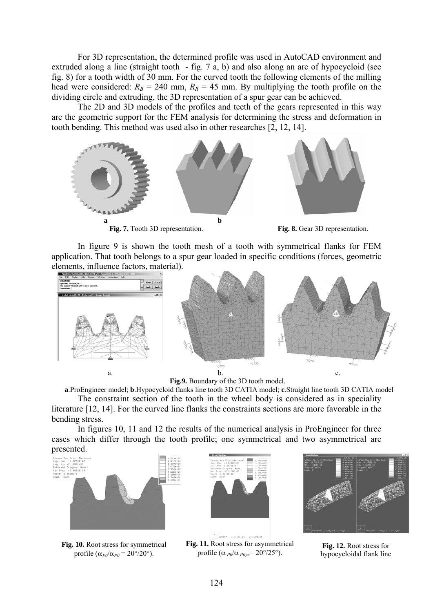For 3D representation, the determined profile was used in AutoCAD environment and extruded along a line (straight tooth - fig. 7 a, b) and also along an arc of hypocycloid (see fig. 8) for a tooth width of 30 mm. For the curved tooth the following elements of the milling head were considered:  $R_B = 240$  mm,  $R_R = 45$  mm. By multiplying the tooth profile on the dividing circle and extruding, the 3D representation of a spur gear can be achieved.

The 2D and 3D models of the profiles and teeth of the gears represented in this way are the geometric support for the FEM analysis for determining the stress and deformation in tooth bending. This method was used also in other researches [2, 12, 14].



 In figure 9 is shown the tooth mesh of a tooth with symmetrical flanks for FEM application. That tooth belongs to a spur gear loaded in specific conditions (forces, geometric elements, influence factors, material).



**Fig.9.** Boundary of the 3D tooth model.

**a**.ProEngineer model; **b**.Hypocycloid flanks line tooth 3D CATIA model; **c**.Straight line tooth 3D CATIA model

 The constraint section of the tooth in the wheel body is considered as in speciality literature [12, 14]. For the curved line flanks the constraints sections are more favorable in the bending stress.

 In figures 10, 11 and 12 the results of the numerical analysis in ProEngineer for three cases which differ through the tooth profile; one symmetrical and two asymmetrical are presented.



**Fig. 10.** Root stress for symmetrical profile  $(\alpha_{P0}/\alpha_{P0} = 20^{\circ}/20^{\circ})$ .



**Fig. 11.** Root stress for asymmetrical profile ( $\alpha_{P0}/\alpha_{P0,m}$ = 20°/25°).



**Fig. 12.** Root stress for hypocycloidal flank line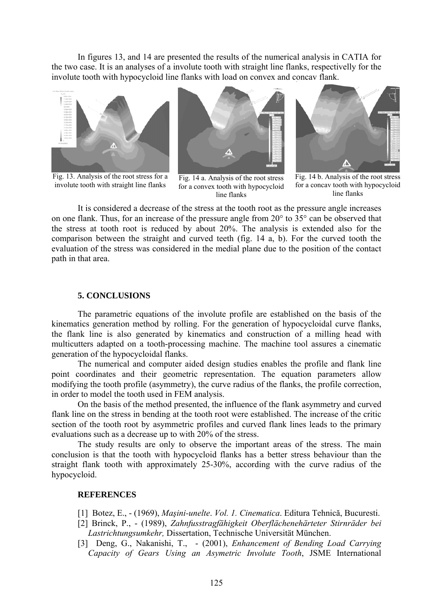In figures 13, and 14 are presented the results of the numerical analysis in CATIA for the two case. It is an analyses of a involute tooth with straight line flanks, respectivelly for the involute tooth with hypocycloid line flanks with load on convex and concav flank.



Fig. 13. Analysis of the root stress for a involute tooth with straight line flanks



Fig. 14 a. Analysis of the root stress for a convex tooth with hypocycloid line flanks



Fig. 14 b. Analysis of the root stress for a concav tooth with hypocycloid line flanks

 It is considered a decrease of the stress at the tooth root as the pressure angle increases on one flank. Thus, for an increase of the pressure angle from 20° to 35° can be observed that the stress at tooth root is reduced by about 20%. The analysis is extended also for the comparison between the straight and curved teeth (fig. 14 a, b). For the curved tooth the evaluation of the stress was considered in the medial plane due to the position of the contact path in that area.

#### **5. CONCLUSIONS**

 The parametric equations of the involute profile are established on the basis of the kinematics generation method by rolling. For the generation of hypocycloidal curve flanks, the flank line is also generated by kinematics and construction of a milling head with multicutters adapted on a tooth-processing machine. The machine tool assures a cinematic generation of the hypocycloidal flanks.

 The numerical and computer aided design studies enables the profile and flank line point coordinates and their geometric representation. The equation parameters allow modifying the tooth profile (asymmetry), the curve radius of the flanks, the profile correction, in order to model the tooth used in FEM analysis.

 On the basis of the method presented, the influence of the flank asymmetry and curved flank line on the stress in bending at the tooth root were established. The increase of the critic section of the tooth root by asymmetric profiles and curved flank lines leads to the primary evaluations such as a decrease up to with 20% of the stress.

 The study results are only to observe the important areas of the stress. The main conclusion is that the tooth with hypocycloid flanks has a better stress behaviour than the straight flank tooth with approximately 25-30%, according with the curve radius of the hypocycloid.

### **REFERENCES**

- [1] Botez, E., (1969), *Maşini-unelte*. *Vol. 1. Cinematica*. Editura Tehnică, Bucuresti.
- [2] Brinck, P., (1989), *Zahnfusstragfähigkeit Oberflächenehärteter Stirnräder bei Lastrichtungsumkehr,* Dissertation, Technische Universität München.
- [3] Deng, G., Nakanishi, T., (2001), *Enhancement of Bending Load Carrying Capacity of Gears Using an Asymetric Involute Tooth*, JSME International